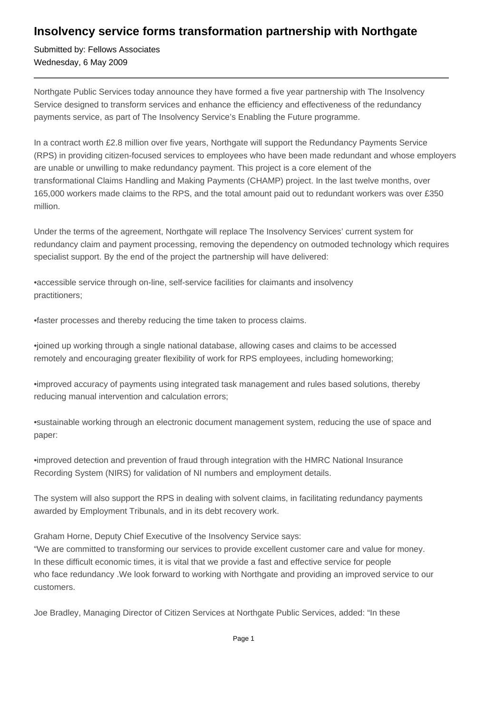## **Insolvency service forms transformation partnership with Northgate**

Submitted by: Fellows Associates Wednesday, 6 May 2009

Northgate Public Services today announce they have formed a five year partnership with The Insolvency Service designed to transform services and enhance the efficiency and effectiveness of the redundancy payments service, as part of The Insolvency Service's Enabling the Future programme.

In a contract worth £2.8 million over five years, Northgate will support the Redundancy Payments Service (RPS) in providing citizen-focused services to employees who have been made redundant and whose employers are unable or unwilling to make redundancy payment. This project is a core element of the transformational Claims Handling and Making Payments (CHAMP) project. In the last twelve months, over 165,000 workers made claims to the RPS, and the total amount paid out to redundant workers was over £350 million.

Under the terms of the agreement, Northgate will replace The Insolvency Services' current system for redundancy claim and payment processing, removing the dependency on outmoded technology which requires specialist support. By the end of the project the partnership will have delivered:

• accessible service through on-line, self-service facilities for claimants and insolvency practitioners;

• faster processes and thereby reducing the time taken to process claims.

• joined up working through a single national database, allowing cases and claims to be accessed remotely and encouraging greater flexibility of work for RPS employees, including homeworking;

• improved accuracy of payments using integrated task management and rules based solutions, thereby reducing manual intervention and calculation errors;

• sustainable working through an electronic document management system, reducing the use of space and paper:

• improved detection and prevention of fraud through integration with the HMRC National Insurance Recording System (NIRS) for validation of NI numbers and employment details.

The system will also support the RPS in dealing with solvent claims, in facilitating redundancy payments awarded by Employment Tribunals, and in its debt recovery work.

Graham Horne, Deputy Chief Executive of the Insolvency Service says:

"We are committed to transforming our services to provide excellent customer care and value for money. In these difficult economic times, it is vital that we provide a fast and effective service for people who face redundancy .We look forward to working with Northgate and providing an improved service to our customers.

Joe Bradley, Managing Director of Citizen Services at Northgate Public Services, added: "In these